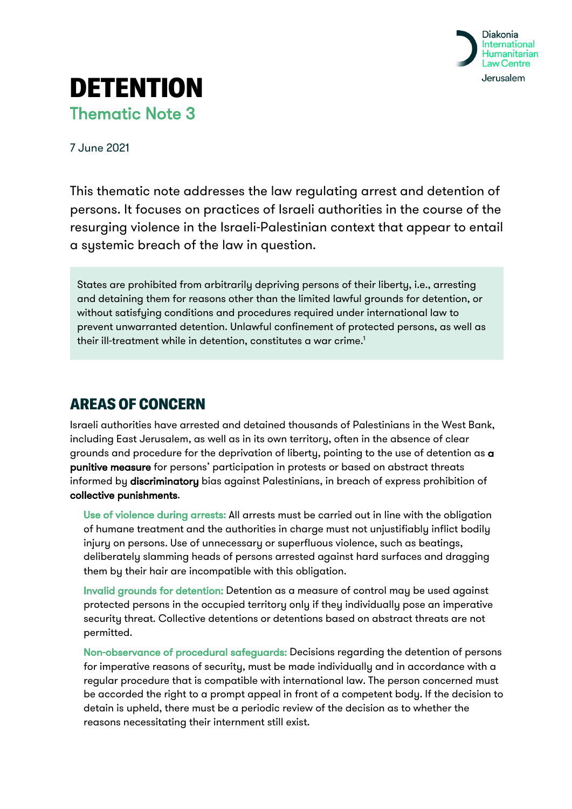

## **DETENTION** Thematic Note 3

7 June 2021

This thematic note addresses the law regulating arrest and detention of persons. It focuses on practices of Israeli authorities in the course of the resurging violence in the Israeli-Palestinian context that appear to entail a systemic breach of the law in question.

States are prohibited from arbitrarily depriving persons of their liberty, i.e., arresting and detaining them for reasons other than the limited lawful grounds for detention, or without satisfying conditions and procedures required under international law to prevent unwarranted detention. Unlawful confinement of protected persons, as well as their ill-treatment while in detention, constitutes a war crime.<sup>1</sup>

## AREAS OF CONCERN

Israeli authorities have arrested and detained thousands of Palestinians in the West Bank, including East Jerusalem, as well as in its own territory, often in the absence of clear grounds and procedure for the deprivation of liberty, pointing to the use of detention as a punitive measure for persons' participation in protests or based on abstract threats informed by discriminatory bias against Palestinians, in breach of express prohibition of collective punishments.

Use of violence during arrests: All arrests must be carried out in line with the obligation of humane treatment and the authorities in charge must not unjustifiably inflict bodily injury on persons. Use of unnecessary or superfluous violence, such as beatings, deliberately slamming heads of persons arrested against hard surfaces and dragging them by their hair are incompatible with this obligation.

Invalid grounds for detention: Detention as a measure of control may be used against protected persons in the occupied territory only if they individually pose an imperative security threat. Collective detentions or detentions based on abstract threats are not permitted.

Non-observance of procedural safeguards: Decisions regarding the detention of persons for imperative reasons of security, must be made individually and in accordance with a regular procedure that is compatible with international law. The person concerned must be accorded the right to a prompt appeal in front of a competent body. If the decision to detain is upheld, there must be a periodic review of the decision as to whether the reasons necessitating their internment still exist.